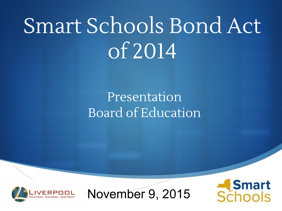### Presentation Board of Education



November 9, 2015

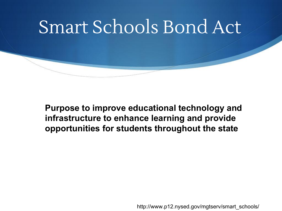**Purpose to improve educational technology and infrastructure to enhance learning and provide opportunities for students throughout the state**

http://www.p12.nysed.gov/mgtserv/smart\_schools/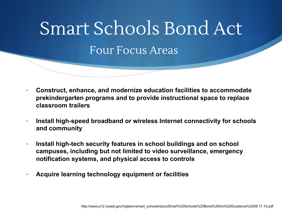# Smart Schools Bond Act Four Focus Areas

- **Construct, enhance, and modernize education facilities to accommodate prekindergarten programs and to provide instructional space to replace classroom trailers**
- **Install high-speed broadband or wireless Internet connectivity for schools and community**
- **Install high-tech security features in school buildings and on school campuses, including but not limited to video surveillance, emergency notification systems, and physical access to controls**
- **Acquire learning technology equipment or facilities**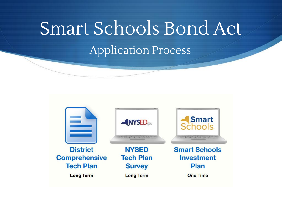### Smart Schools Bond Act Application Process

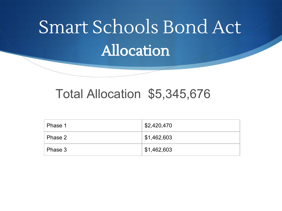# **Allocation** Smart Schools Bond Act

#### Total Allocation \$5,345,676

| Phase 1 | \$2,420,470 |
|---------|-------------|
| Phase 2 | \$1,462,603 |
| Phase 3 | \$1,462,603 |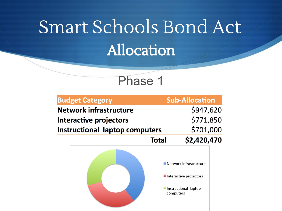## Allocation Smart Schools Bond Act



| <b>Budget Category</b>                |              | <b>Sub-Allocation</b>                                                      |  |
|---------------------------------------|--------------|----------------------------------------------------------------------------|--|
| <b>Network infrastructure</b>         |              | \$947,620                                                                  |  |
| Interactive projectors                |              | \$771,850                                                                  |  |
| <b>Instructional laptop computers</b> |              | \$701,000                                                                  |  |
|                                       | <b>Total</b> | \$2,420,470                                                                |  |
|                                       | computers    | ■ Network infrastructure<br>Interactive projectors<br>Instructional laptop |  |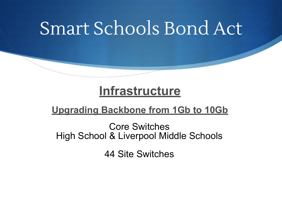#### **Infrastructure**

#### **Upgrading Backbone from 1Gb to 10Gb**

Core Switches High School & Liverpool Middle Schools

44 Site Switches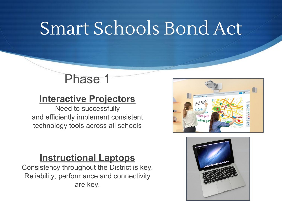#### Phase 1

#### **Interactive Projectors**

Need to successfully and efficiently implement consistent technology tools across all schools

#### **Instructional Laptops**

Consistency throughout the District is key. Reliability, performance and connectivity are key.



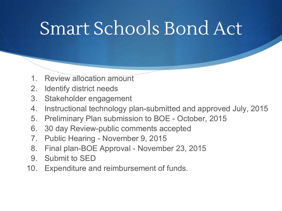- Review allocation amount
- 2. Identify district needs
- 3. Stakeholder engagement
- 4. Instructional technology plan-submitted and approved July, 2015
- 5. Preliminary Plan submission to BOE October, 2015
- 6. 30 day Review-public comments accepted
- 7. Public Hearing November 9, 2015
- 8. Final plan-BOE Approval November 23, 2015
- 9. Submit to SED
- 10. Expenditure and reimbursement of funds.